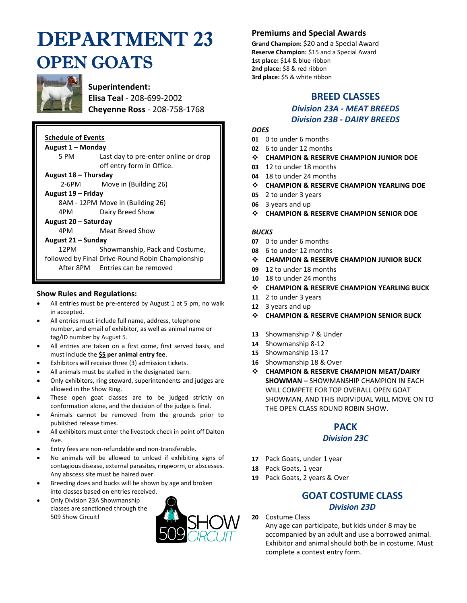# DEPARTMENT 23 OPEN GOATS



**Superintendent: Elisa Teal** - 208-699-2002 **Cheyenne Ross** - 208-758-1768

| <b>Schedule of Events</b> |                                                                   |  |  |  |  |  |
|---------------------------|-------------------------------------------------------------------|--|--|--|--|--|
| August 1 – Monday         |                                                                   |  |  |  |  |  |
| 5 PM                      | Last day to pre-enter online or drop<br>off entry form in Office. |  |  |  |  |  |
| August 18 - Thursday      |                                                                   |  |  |  |  |  |
|                           | 2-6PM Move in (Building 26)                                       |  |  |  |  |  |
| August 19 - Friday        |                                                                   |  |  |  |  |  |
|                           | 8AM - 12PM Move in (Building 26)                                  |  |  |  |  |  |
| 4PM                       | Dairy Breed Show                                                  |  |  |  |  |  |
| August 20 – Saturday      |                                                                   |  |  |  |  |  |
| 4PM -                     | Meat Breed Show                                                   |  |  |  |  |  |
| August 21 – Sunday        |                                                                   |  |  |  |  |  |
| 12PM -                    | Showmanship, Pack and Costume,                                    |  |  |  |  |  |
|                           | followed by Final Drive-Round Robin Championship                  |  |  |  |  |  |
|                           | After 8PM Entries can be removed                                  |  |  |  |  |  |

#### **Show Rules and Regulations:**

- All entries must be pre-entered by August 1 at 5 pm, no walk in accepted.
- All entries must include full name, address, telephone number, and email of exhibitor, as well as animal name or tag/ID number by August 5.
- All entries are taken on a first come, first served basis, and must include the **\$5 per animal entry fee**.
- Exhibitors will receive three (3) admission tickets.
- All animals must be stalled in the designated barn.
- Only exhibitors, ring steward, superintendents and judges are allowed in the Show Ring.
- These open goat classes are to be judged strictly on conformation alone, and the decision of the judge is final.
- Animals cannot be removed from the grounds prior to published release times.
- All exhibitors must enter the livestock check in point off Dalton Ave.
- Entry fees are non-refundable and non-transferable.
- No animals will be allowed to unload if exhibiting signs of contagious disease, external parasites, ringworm, or abscesses. Any abscess site must be haired over.
- Breeding does and bucks will be shown by age and broken into classes based on entries received.
- Only Division 23A Showmanship classes are sanctioned through the 509 Show Circuit!



## **Premiums and Special Awards**

**Grand Champion:** \$20 and a Special Award **Reserve Champion:** \$15 and a Special Award **1st place:** \$14 & blue ribbon **2nd place:** \$8 & red ribbon **3rd place:** \$5 & white ribbon

# **BREED CLASSES**

#### *Division 23A - MEAT BREEDS Division 23B - DAIRY BREEDS*

#### *DOES*

- **01** 0 to under 6 months
- **02** 6 to under 12 months
- ❖ **CHAMPION & RESERVE CHAMPION JUNIOR DOE**
- **03** 12 to under 18 months
- **04** 18 to under 24 months
- ❖ **CHAMPION & RESERVE CHAMPION YEARLING DOE**
- **05** 2 to under 3 years
- **06** 3 years and up
- ❖ **CHAMPION & RESERVE CHAMPION SENIOR DOE**

#### *BUCKS*

- **07** 0 to under 6 months
- **08** 6 to under 12 months
- ❖ **CHAMPION & RESERVE CHAMPION JUNIOR BUCK**
- **09** 12 to under 18 months
- **10** 18 to under 24 months
- ❖ **CHAMPION & RESERVE CHAMPION YEARLING BUCK**
- **11** 2 to under 3 years
- **12** 3 years and up
- ❖ **CHAMPION & RESERVE CHAMPION SENIOR BUCK**
- **13** Showmanship 7 & Under
- **14** Showmanship 8-12
- **15** Showmanship 13-17
- **16** Showmanship 18 & Over
- ❖ **CHAMPION & RESERVE CHAMPION MEAT/DAIRY SHOWMAN –** SHOWMANSHIP CHAMPION IN EACH WILL COMPETE FOR TOP OVERALL OPEN GOAT SHOWMAN, AND THIS INDIVIDUAL WILL MOVE ON TO THE OPEN CLASS ROUND ROBIN SHOW.

# **PACK**

#### *Division 23C*

- **17** Pack Goats, under 1 year
- **18** Pack Goats, 1 year
- **19** Pack Goats, 2 years & Over

## **GOAT COSTUME CLASS**  *Division 23D*

**20** Costume Class

Any age can participate, but kids under 8 may be accompanied by an adult and use a borrowed animal. Exhibitor and animal should both be in costume. Must complete a contest entry form.